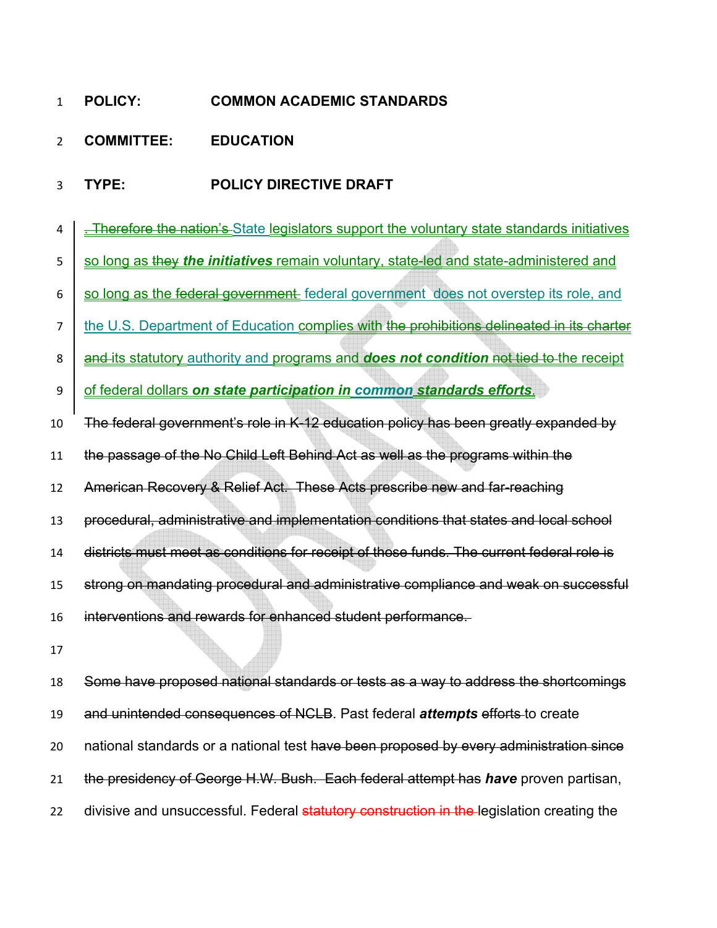## **POLICY: COMMON ACADEMIC STANDARDS**

- **COMMITTEE: EDUCATION**
- **TYPE: POLICY DIRECTIVE DRAFT**
- 4 . Therefore the nation's State legislators support the voluntary state standards initiatives
- 5 So long as they *the initiatives* remain voluntary, state-led and state-administered and
- $6 \mid$  so long as the federal government federal government does not overstep its role, and
- 7 the U.S. Department of Education complies with the prohibitions delineated in its charter
- **and its statutory** authority and programs and **does not condition** not tied to the receipt
- of federal dollars *on state participation in common standards efforts*.
- The federal government's role in K-12 education policy has been greatly expanded by
- the passage of the No Child Left Behind Act as well as the programs within the
- 12 American Recovery & Relief Act. These Acts prescribe new and far-reaching
- procedural, administrative and implementation conditions that states and local school
- districts must meet as conditions for receipt of those funds. The current federal role is
- strong on mandating procedural and administrative compliance and weak on successful
- interventions and rewards for enhanced student performance.
- 
- Some have proposed national standards or tests as a way to address the shortcomings and unintended consequences of NCLB. Past federal *attempts* efforts to create 20 national standards or a national test have been proposed by every administration since the presidency of George H.W. Bush. Each federal attempt has *have* proven partisan, 22 divisive and unsuccessful. Federal statutory construction in the legislation creating the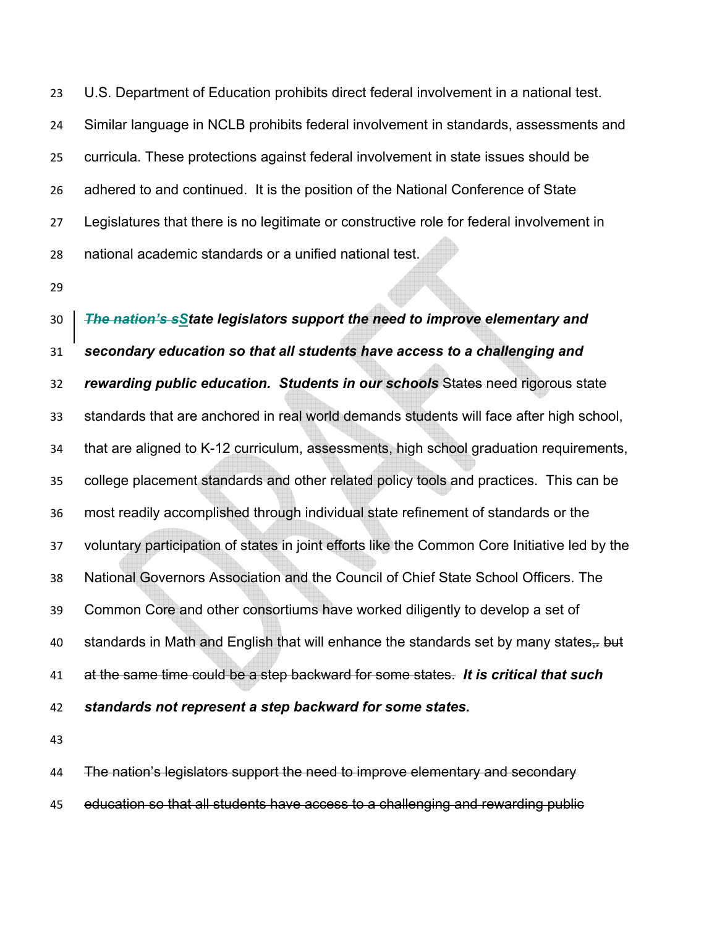U.S. Department of Education prohibits direct federal involvement in a national test. Similar language in NCLB prohibits federal involvement in standards, assessments and curricula. These protections against federal involvement in state issues should be adhered to and continued. It is the position of the National Conference of State Legislatures that there is no legitimate or constructive role for federal involvement in national academic standards or a unified national test.

*The nation's sState legislators support the need to improve elementary and secondary education so that all students have access to a challenging and rewarding public education. Students in our schools* States need rigorous state standards that are anchored in real world demands students will face after high school, that are aligned to K-12 curriculum, assessments, high school graduation requirements, college placement standards and other related policy tools and practices. This can be most readily accomplished through individual state refinement of standards or the voluntary participation of states in joint efforts like the Common Core Initiative led by the National Governors Association and the Council of Chief State School Officers. The Common Core and other consortiums have worked diligently to develop a set of standards in Math and English that will enhance the standards set by many states,*.* but at the same time could be a step backward for some states. *It is critical that such standards not represent a step backward for some states.* 

The nation's legislators support the need to improve elementary and secondary education so that all students have access to a challenging and rewarding public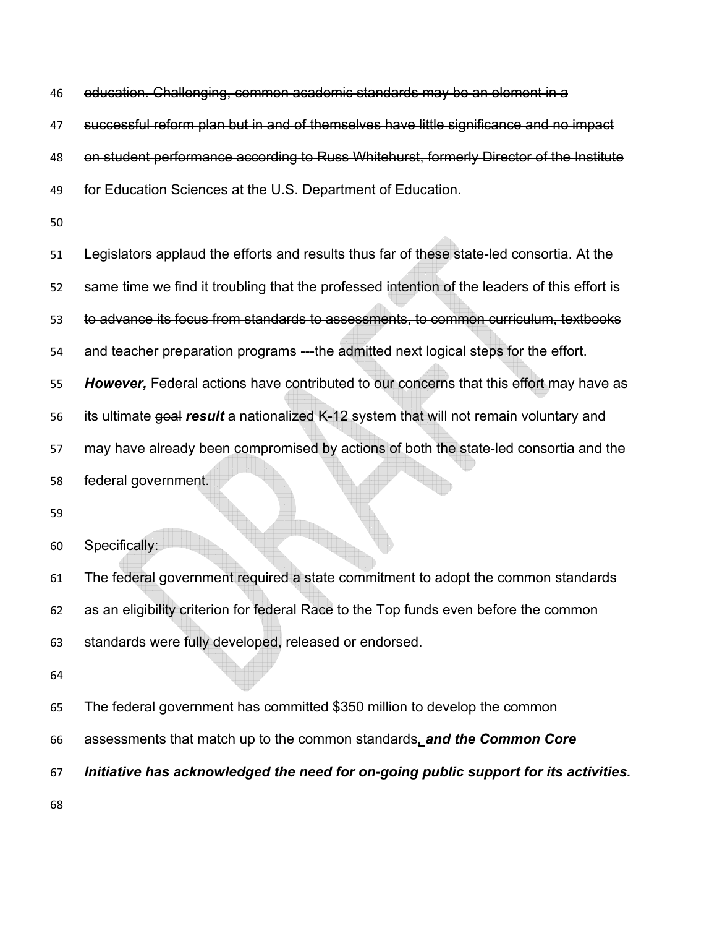education. Challenging, common academic standards may be an element in a

successful reform plan but in and of themselves have little significance and no impact

48 on student performance according to Russ Whitehurst, formerly Director of the Institute

49 for Education Sciences at the U.S. Department of Education.

51 Legislators applaud the efforts and results thus far of these state-led consortia. At the same time we find it troubling that the professed intention of the leaders of this effort is 53 to advance its focus from standards to assessments, to common curriculum, textbooks 54 and teacher preparation programs ---the admitted next logical steps for the effort. *However,* Federal actions have contributed to our concerns that this effort may have as its ultimate goal *result* a nationalized K-12 system that will not remain voluntary and may have already been compromised by actions of both the state-led consortia and the federal government. 

Specifically:

The federal government required a state commitment to adopt the common standards as an eligibility criterion for federal Race to the Top funds even before the common standards were fully developed, released or endorsed.

The federal government has committed \$350 million to develop the common

assessments that match up to the common standards*, and the Common Core* 

*Initiative has acknowledged the need for on-going public support for its activities.*